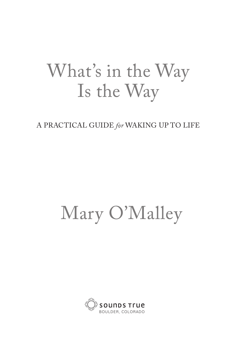## What's in the Way Is the Way

A PRACTICAL GUIDE *for* WAKING UP TO LIFE

## Mary O'Malley

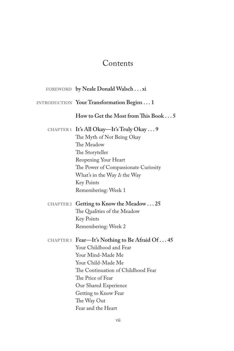#### Contents

|                 | FOREWORD by Neale Donald Walschxi             |
|-----------------|-----------------------------------------------|
|                 | INTRODUCTION Your Transformation Begins1      |
|                 | How to Get the Most from This Book 5          |
| <b>CHAPTER1</b> | It's All Okay—It's Truly Okay 9               |
|                 | The Myth of Not Being Okay                    |
|                 | The Meadow                                    |
|                 | The Storyteller                               |
|                 | Reopening Your Heart                          |
|                 | The Power of Compassionate Curiosity          |
|                 | What's in the Way Is the Way                  |
|                 | <b>Key Points</b>                             |
|                 | Remembering: Week 1                           |
|                 | CHAPTER2 Getting to Know the Meadow 25        |
|                 | The Qualities of the Meadow                   |
|                 | <b>Key Points</b>                             |
|                 | Remembering: Week 2                           |
|                 | CHAPTER3 Fear-It's Nothing to Be Afraid Of 45 |
|                 | Your Childhood and Fear                       |
|                 | Your Mind-Made Me                             |
|                 | Your Child-Made Me                            |
|                 | The Continuation of Childhood Fear            |
|                 | The Price of Fear                             |
|                 | Our Shared Experience                         |
|                 | Getting to Know Fear                          |
|                 | The Way Out                                   |
|                 | Fear and the Heart                            |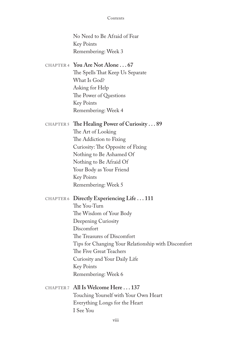Contents

 No Need to Be Afraid of Fear Key Points Remembering: Week 3

#### **CHAPTER 4 You Are Not Alone . . . 67**

 The Spells That Keep Us Separate What Is God? Asking for Help The Power of Questions Key Points Remembering: Week 4

#### **CHAPTER 5 The Healing Power of Curiosity . . . 89**

 The Art of Looking The Addiction to Fixing Curiosity: The Opposite of Fixing Nothing to Be Ashamed Of Nothing to Be Afraid Of Your Body as Your Friend Key Points Remembering: Week 5

#### **CHAPTER 6 Directly Experiencing Life . . . 111**

 The You-Turn The Wisdom of Your Body Deepening Curiosity Discomfort The Treasures of Discomfort Tips for Changing Your Relationship with Discomfort The Five Great Teachers Curiosity and Your Daily Life Key Points Remembering: Week 6

#### **CHAPTER 7 All Is Welcome Here . . . 137**

 Touching Yourself with Your Own Heart Everything Longs for the Heart I See You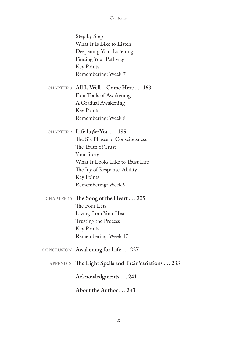Step by Step What It Is Like to Listen Deepening Your Listening Finding Your Pathway Key Points Remembering: Week 7

- **CHAPTER 8 All Is Well—Come Here . . . 163** Four Tools of Awakening A Gradual Awakening Key Points Remembering: Week 8
- **CHAPTER 9 Life Is** *for* **You . . . 185** The Six Phases of Consciousness The Truth of Trust Your Story What It Looks Like to Trust Life The Joy of Response-Ability Key Points Remembering: Week 9
- **CHAPTER 10 The Song of the Heart . . . 205** The Four Lets Living from Your Heart Trusting the Process Key Points Remembering: Week 10
- **CONCLUSION Awakening for Life . . . 227**
	- **APPENDIX The Eight Spells and Their Variations . . . 233**

 **Acknowledgments . . . 241**

 **About the Author . . . 243**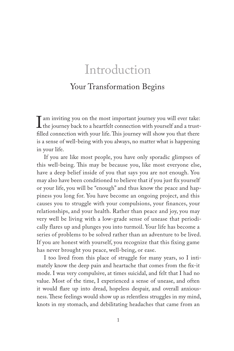### Introduction

#### Your Transformation Begins

 $\prod$  am inviting you on the most important journey you will ever take:<br>the journey back to a heartfelt connection with yourself and a trust-<br>filled connection with your life. This journey will show you that there the journey back to a heartfelt connection with yourself and a trustfilled connection with your life. This journey will show you that there is a sense of well-being with you always, no matter what is happening in your life.

If you are like most people, you have only sporadic glimpses of this well-being. This may be because you, like most everyone else, have a deep belief inside of you that says you are not enough. You may also have been conditioned to believe that if you just fix yourself or your life, you will be "enough" and thus know the peace and happiness you long for. You have become an ongoing project, and this causes you to struggle with your compulsions, your finances, your relationships, and your health. Rather than peace and joy, you may very well be living with a low-grade sense of unease that periodically flares up and plunges you into turmoil. Your life has become a series of problems to be solved rather than an adventure to be lived. If you are honest with yourself, you recognize that this fixing game has never brought you peace, well-being, or ease.

I too lived from this place of struggle for many years, so I intimately know the deep pain and heartache that comes from the fix-it mode. I was very compulsive, at times suicidal, and felt that I had no value. Most of the time, I experienced a sense of unease, and often it would flare up into dread, hopeless despair, and overall anxiousness. These feelings would show up as relentless struggles in my mind, knots in my stomach, and debilitating headaches that came from an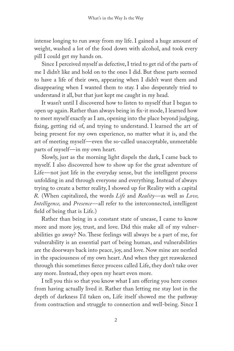intense longing to run away from my life. I gained a huge amount of weight, washed a lot of the food down with alcohol, and took every pill I could get my hands on.

Since I perceived myself as defective, I tried to get rid of the parts of me I didn't like and hold on to the ones I did. But these parts seemed to have a life of their own, appearing when I didn't want them and disappearing when I wanted them to stay. I also desperately tried to understand it all, but that just kept me caught in my head.

It wasn't until I discovered how to listen to myself that I began to open up again. Rather than always being in fix-it mode, I learned how to meet myself exactly as I am, opening into the place beyond judging, fixing, getting rid of, and trying to understand. I learned the art of being present for my own experience, no matter what it is, and the art of meeting myself—even the so-called unacceptable, unmeetable parts of myself—in my own heart.

Slowly, just as the morning light dispels the dark, I came back to myself. I also discovered how to show up for the great adventure of Life—not just life in the everyday sense, but the intelligent process unfolding in and through everyone and everything. Instead of always trying to create a better reality, I showed up for Reality with a capital *R.* (When capitalized, the words *Life* and *Reality—*as well as *Love, Intelligence,* and *Presence—*all refer to the interconnected, intelligent field of being that is Life.)

Rather than being in a constant state of unease, I came to know more and more joy, trust, and love. Did this make all of my vulnerabilities go away? No. These feelings will always be a part of me, for vulnerability is an essential part of being human, and vulnerabilities are the doorways back into peace, joy, and love. Now mine are nestled in the spaciousness of my own heart. And when they get reawakened through this sometimes fierce process called Life, they don't take over any more. Instead, they open my heart even more.

I tell you this so that you know what I am offering you here comes from having actually lived it. Rather than letting me stay lost in the depth of darkness I'd taken on, Life itself showed me the pathway from contraction and struggle to connection and well-being. Since I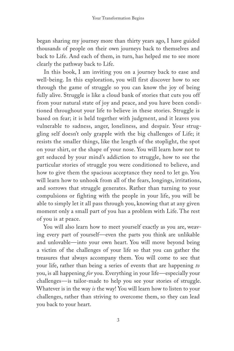began sharing my journey more than thirty years ago, I have guided thousands of people on their own journeys back to themselves and back to Life. And each of them, in turn, has helped me to see more clearly the pathway back to Life.

In this book, I am inviting you on a journey back to ease and well-being. In this exploration, you will first discover how to see through the game of struggle so you can know the joy of being fully alive. Struggle is like a cloud bank of stories that cuts you off from your natural state of joy and peace, and you have been conditioned throughout your life to believe in these stories. Struggle is based on fear; it is held together with judgment, and it leaves you vulnerable to sadness, anger, loneliness, and despair. Your struggling self doesn't only grapple with the big challenges of Life; it resists the smaller things, like the length of the stoplight, the spot on your shirt, or the shape of your nose. You will learn how not to get seduced by your mind's addiction to struggle, how to see the particular stories of struggle you were conditioned to believe, and how to give them the spacious acceptance they need to let go. You will learn how to unhook from all of the fears, longings, irritations, and sorrows that struggle generates. Rather than turning to your compulsions or fighting with the people in your life, you will be able to simply let it all pass through you, knowing that at any given moment only a small part of you has a problem with Life. The rest of you is at peace.

You will also learn how to meet yourself exactly as you are, weaving every part of yourself—even the parts you think are unlikable and unlovable—into your own heart. You will move beyond being a victim of the challenges of your life so that you can gather the treasures that always accompany them. You will come to see that your life, rather than being a series of events that are happening *to* you, is all happening *for* you. Everything in your life—especially your challenges—is tailor-made to help you see your stories of struggle. Whatever is in the way *is* the way! You will learn how to listen to your challenges, rather than striving to overcome them, so they can lead you back to your heart.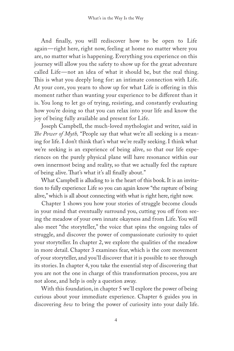And finally, you will rediscover how to be open to Life again—right here, right now, feeling at home no matter where you are, no matter what is happening. Everything you experience on this journey will allow you the safety to show up for the great adventure called Life—not an idea of what it should be, but the real thing. This is what you deeply long for: an intimate connection with Life. At your core, you yearn to show up for what Life is offering in this moment rather than wanting your experience to be different than it is. You long to let go of trying, resisting, and constantly evaluating how you're doing so that you can relax into your life and know the joy of being fully available and present for Life.

Joseph Campbell, the much-loved mythologist and writer, said in *The Power of Myth,* "People say that what we're all seeking is a meaning for life. I don't think that's what we're really seeking. I think what we're seeking is an experience of being alive, so that our life experiences on the purely physical plane will have resonance within our own innermost being and reality, so that we actually feel the rapture of being alive. That's what it's all finally about."

What Campbell is alluding to is the heart of this book. It is an invitation to fully experience Life so you can again know "the rapture of being alive," which is all about connecting with what is right here, right now.

Chapter 1 shows you how your stories of struggle become clouds in your mind that eventually surround you, cutting you off from seeing the meadow of your own innate okayness and from Life. You will also meet "the storyteller," the voice that spins the ongoing tales of struggle, and discover the power of compassionate curiosity to quiet your storyteller. In chapter 2, we explore the qualities of the meadow in more detail. Chapter 3 examines fear, which is the core movement of your storyteller, and you'll discover that it is possible to see through its stories. In chapter 4, you take the essential step of discovering that you are not the one in charge of this transformation process, you are not alone, and help is only a question away.

With this foundation, in chapter 5 we'll explore the power of being curious about your immediate experience. Chapter 6 guides you in discovering *how* to bring the power of curiosity into your daily life.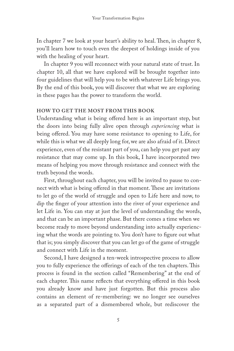In chapter 7 we look at your heart's ability to heal. Then, in chapter 8, you'll learn how to touch even the deepest of holdings inside of you with the healing of your heart.

In chapter 9 you will reconnect with your natural state of trust. In chapter 10, all that we have explored will be brought together into four guidelines that will help you to be with whatever Life brings you. By the end of this book, you will discover that what we are exploring in these pages has the power to transform the world.

#### **HOW TO GET THE MOST FROM THIS BOOK**

Understanding what is being offered here is an important step, but the doors into being fully alive open through *experiencing* what is being offered. You may have some resistance to opening to Life, for while this is what we all deeply long for, we are also afraid of it. Direct experience, even of the resistant part of you, can help you get past any resistance that may come up. In this book, I have incorporated two means of helping you move through resistance and connect with the truth beyond the words.

First, throughout each chapter, you will be invited to pause to connect with what is being offered in that moment. These are invitations to let go of the world of struggle and open to Life here and now, to dip the finger of your attention into the river of your experience and let Life in. You can stay at just the level of understanding the words, and that can be an important phase. But there comes a time when we become ready to move beyond understanding into actually experiencing what the words are pointing to. You don't have to figure out what that is; you simply discover that you can let go of the game of struggle and connect with Life in the moment.

Second, I have designed a ten-week introspective process to allow you to fully experience the offerings of each of the ten chapters. This process is found in the section called "Remembering" at the end of each chapter. This name reflects that everything offered in this book you already know and have just forgotten. But this process also contains an element of re-membering: we no longer see ourselves as a separated part of a dismembered whole, but rediscover the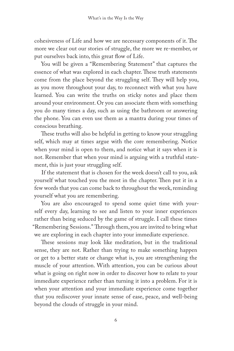cohesiveness of Life and how we are necessary components of it. The more we clear out our stories of struggle, the more we re-member, or put ourselves back into, this great flow of Life.

You will be given a "Remembering Statement" that captures the essence of what was explored in each chapter. These truth statements come from the place beyond the struggling self. They will help you, as you move throughout your day, to reconnect with what you have learned. You can write the truths on sticky notes and place them around your environment. Or you can associate them with something you do many times a day, such as using the bathroom or answering the phone. You can even use them as a mantra during your times of conscious breathing.

These truths will also be helpful in getting to know your struggling self, which may at times argue with the core remembering. Notice when your mind is open to them, and notice what it says when it is not. Remember that when your mind is arguing with a truthful statement, this is just your struggling self.

If the statement that is chosen for the week doesn't call to you, ask yourself what touched you the most in the chapter. Then put it in a few words that you can come back to throughout the week, reminding yourself what you are remembering.

You are also encouraged to spend some quiet time with yourself every day, learning to see and listen to your inner experiences rather than being seduced by the game of struggle. I call these times "Remembering Sessions." Through them, you are invited to bring what we are exploring in each chapter into your immediate experience.

These sessions may look like meditation, but in the traditional sense, they are not. Rather than trying to make something happen or get to a better state or change what is, you are strengthening the muscle of your attention. With attention, you can be curious about what is going on right now in order to discover how to relate to your immediate experience rather than turning it into a problem. For it is when your attention and your immediate experience come together that you rediscover your innate sense of ease, peace, and well-being beyond the clouds of struggle in your mind.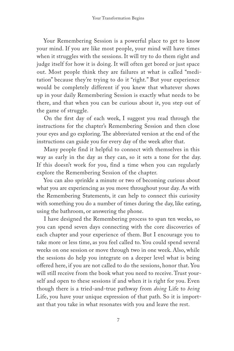Your Remembering Session is a powerful place to get to know your mind. If you are like most people, your mind will have times when it struggles with the sessions. It will try to do them right and judge itself for how it is doing. It will often get bored or just space out. Most people think they are failures at what is called "meditation" because they're trying to do it "right." But your experience would be completely different if you knew that whatever shows up in your daily Remembering Session is exactly what needs to be there, and that when you can be curious about it, you step out of the game of struggle.

On the first day of each week, I suggest you read through the instructions for the chapter's Remembering Session and then close your eyes and go exploring. The abbreviated version at the end of the instructions can guide you for every day of the week after that.

Many people find it helpful to connect with themselves in this way as early in the day as they can, so it sets a tone for the day. If this doesn't work for you, find a time when you can regularly explore the Remembering Session of the chapter.

You can also sprinkle a minute or two of becoming curious about what you are experiencing as you move throughout your day. As with the Remembering Statements, it can help to connect this curiosity with something you do a number of times during the day, like eating, using the bathroom, or answering the phone.

I have designed the Remembering process to span ten weeks, so you can spend seven days connecting with the core discoveries of each chapter and your experience of them. But I encourage you to take more or less time, as you feel called to. You could spend several weeks on one session or move through two in one week. Also, while the sessions do help you integrate on a deeper level what is being offered here, if you are not called to do the sessions, honor that. You will still receive from the book what you need to receive. Trust yourself and open to these sessions if and when it is right for you. Even though there is a tried-and-true pathway from *doing* Life to *being* Life, you have your unique expression of that path. So it is important that you take in what resonates with you and leave the rest.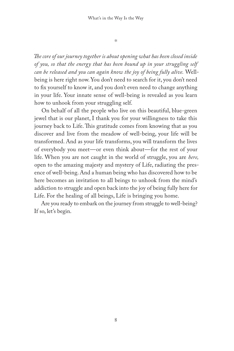\*

*The core of our journey together is about opening what has been closed inside of you, so that the energy that has been bound up in your struggling self can be released and you can again know the joy of being fully alive.* Wellbeing is here right now. You don't need to search for it, you don't need to fix yourself to know it, and you don't even need to change anything in your life. Your innate sense of well-being is revealed as you learn how to unhook from your struggling self.

On behalf of all the people who live on this beautiful, blue-green jewel that is our planet, I thank you for your willingness to take this journey back to Life. This gratitude comes from knowing that as you discover and live from the meadow of well-being, your life will be transformed. And as your life transforms, you will transform the lives of everybody you meet—or even think about—for the rest of your life. When you are not caught in the world of struggle, you are *here,* open to the amazing majesty and mystery of Life, radiating the presence of well-being. And a human being who has discovered how to be here becomes an invitation to all beings to unhook from the mind's addiction to struggle and open back into the joy of being fully here for Life. For the healing of all beings, Life is bringing you home.

Are you ready to embark on the journey from struggle to well-being? If so, let's begin.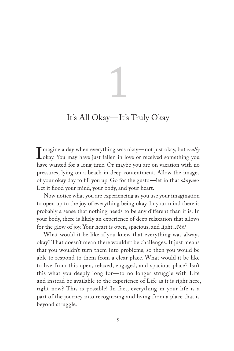# 1 It's All Okay—It's Truly Okay

 $\prod_{h_3}$ magine a day when everything was okay—not just okay, but *really* okay. You may have just fallen in love or received something you have wanted for a long time. Or maybe you are on vacation with no pressures, lying on a beach in deep contentment. Allow the images of your okay day to fill you up. Go for the gusto—let in that *okayness.* Let it flood your mind, your body, and your heart.

Now notice what you are experiencing as you use your imagination to open up to the joy of everything being okay. In your mind there is probably a sense that nothing needs to be any different than it is. In your body, there is likely an experience of deep relaxation that allows for the glow of joy. Your heart is open, spacious, and light. *Ahh!*

What would it be like if you knew that everything was always okay? That doesn't mean there wouldn't be challenges. It just means that you wouldn't turn them into problems, so then you would be able to respond to them from a clear place. What would it be like to live from this open, relaxed, engaged, and spacious place? Isn't this what you deeply long for—to no longer struggle with Life and instead be available to the experience of Life as it is right here, right now? This is possible! In fact, everything in your life is a part of the journey into recognizing and living from a place that is beyond struggle.